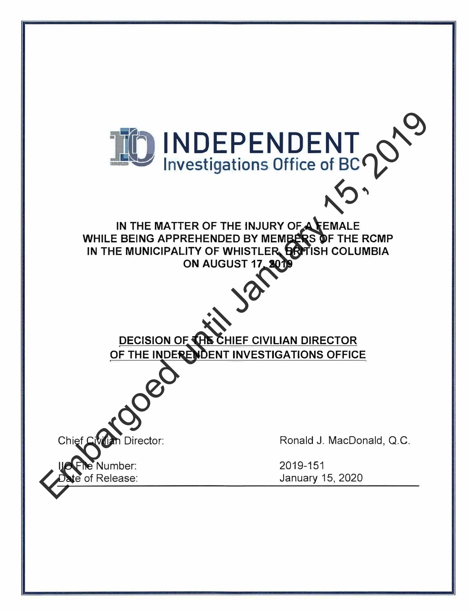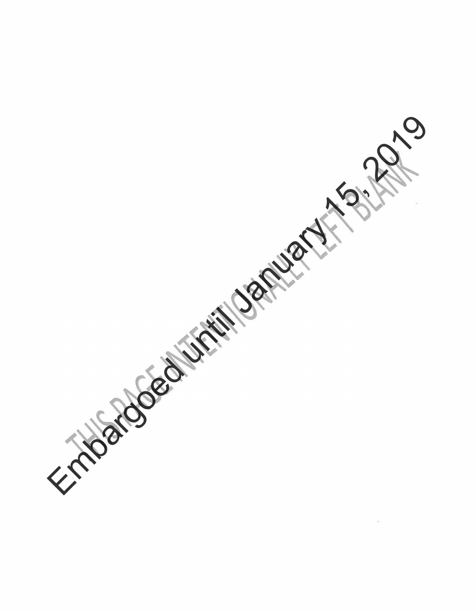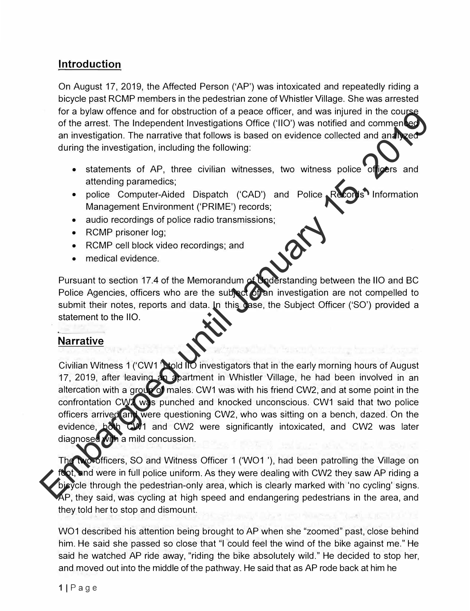## **Introduction**

On August 17, 2019, the Affected Person ('AP') was intoxicated and repeatedly riding a bicycle past RCMP members in the pedestrian zone of Whistler Village. She was arrested for a bylaw offence and for obstruction of a peace officer, and was injured in the course of the arrest. The Independent Investigations Office ('IIO') was notified and commenced an investigation. The narrative that follows is based on evidence collected and analyzed during the investigation, including the following:

- $\bullet$  statements of AP, three civilian witnesses, two witness police officers and attending paramedics;
- police Computer-Aided Dispatch ('CAD') and Police Records' Information Management Environment ('PRIME') records;
- audio recordings of police radio transmissions;
- RCMP prisoner log;
- RCMP cell block video recordings; and
- •medical evidence.

Pursuant to section 17.4 of the Memorandum of Understanding between the IIO and BC Police Agencies, officers who are the subject of an investigation are not compelled to submit their notes, reports and data. In this case, the Subject Officer ('SO') provided a statement to the IIO.

## **Narrative**

Civilian Witness 1 ('CW1 ') told 110 investigators that in the early morning hours of August 17, 2019, after leaving an apartment in Whistler Village, he had been involved in an altercation with a group of males. CW1 was with his friend CW2, and at some point in the confrontation CW2 was punched and knocked unconscious. CW1 said that two police officers arrived and were questioning CW2, who was sitting on a bench, dazed. On the evidence, both CW1 and CW2 were significantly intoxicated, and CW2 was later diagnosed with a mild concussion. Tor a by owners and the most external on a peace omest, and was milleted with the could<br>applied the peace of constrained the following:<br>
an investigation. The narrative that follows is based on evidence collected and analy

The two officers, SO and Witness Officer 1 ('WO1 '), had been patrolling the Village on foot, and were in full police uniform. As they were dealing with CW2 they saw AP riding a bicycle through the pedestrian-only area, which is clearly marked with 'no cycling' signs. AP, they said, was cycling at high speed and endangering pedestrians in the area, and they told her to stop and dismount.

WO1 described his attention being brought to AP when she "zoomed" past, close behind him. He said she passed so close that "I could feel the wind of the bike against me." He said he watched AP ride away, "riding the bike absolutely wild." He decided to stop her, and moved out into the middle of the pathway. He said that as AP rode back at him he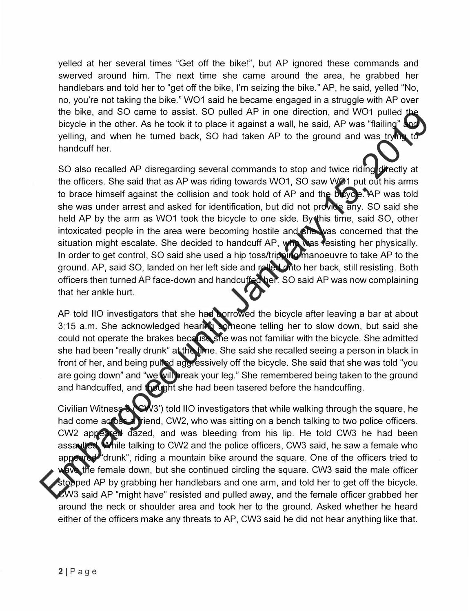yelled at her several times "Get off the bike!", but AP ignored these commands and swerved around him. The next time she came around the area, he grabbed her handlebars and told her to "get off the bike, I'm seizing the bike." AP, he said, yelled "No, no, you're not taking the bike." W01 said he became engaged in a struggle with AP over the bike, and SO came to assist. SO pulled AP in one direction, and W01 pulled the bicycle in the other. As he took it to place it against a wall, he said, AP was "flailing" and yelling, and when he turned back, SO had taken AP to the ground and was trying to handcuff her.

SO also recalled AP disregarding several commands to stop and twice riding directly at the officers. She said that as AP was riding towards WO1, SO saw WO1 put out his arms to brace himself against the collision and took hold of AP and the bicycle. AP was told she was under arrest and asked for identification, but did not provide any. SO said she held AP by the arm as WO1 took the bicycle to one side. By this time, said SO, other intoxicated people in the area were becoming hostile and she was concerned that the situation might escalate. She decided to handcuff AP, who was resisting her physically. In order to get control, SO said she used a hip toss/tripping manoeuvre to take AP to the ground. AP, said SO, landed on her left side and rolled onto her back, still resisting. Both officers then turned AP face-down and handcuffed her. SO said AP was now complaining that her ankle hurt. the bike, and SO comes that she had showed AP in one direction, and WOT pulled the sixt is of the form of the spinal of the spinal of the spinal of the spinal of the spinal of the spinal of the spinal of the spinal of the

AP told IIO investigators that she had borrowed the bicycle after leaving a bar at about 3:15 a.m. She acknowledged hearing someone telling her to slow down, but said she could not operate the brakes because she was not familiar with the bicycle. She admitted she had been "really drunk" at the time. She said she recalled seeing a person in black in front of her, and being pulled aggressively off the bicycle. She said that she was told "you are going down" and "we will break your leg." She remembered being taken to the ground and handcuffed, and thought she had been tasered before the handcuffing.

Civilian Witness 3 (CW3') told IIO investigators that while walking through the square, he had come across a friend, CW2, who was sitting on a bench talking to two police officers. CW2 appeared dazed, and was bleeding from his lip. He told CW3 he had been assaulted. While talking to CW2 and the police officers, CW3 said, he saw a female who appeared "drunk", riding a mountain bike around the square. One of the officers tried to wave the female down, but she continued circling the square. CW3 said the male officer stopped AP by grabbing her handlebars and one arm, and told her to get off the bicycle. CW3 said AP "might have" resisted and pulled away, and the female officer grabbed her around the neck or shoulder area and took her to the ground. Asked whether he heard either of the officers make any threats to AP, CW3 said he did not hear anything like that.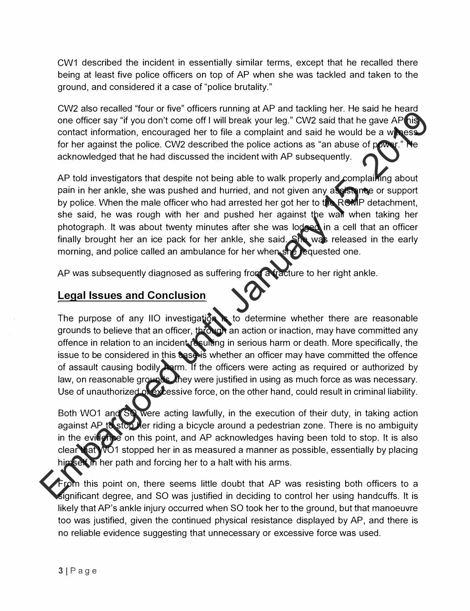CW1 described the incident in essentially similar terms, except that he recalled there being at least five police officers on top of AP when she was tackled and taken to the ground, and considered it a case of "police brutality."

CW2 also recalled "four or five" officers running at AP and tackling her. He said he heard one officer say "if you don't come off I will break your leg." CW2 said that he gave AP his contact information, encouraged her to file a complaint and said he would be a witness for her against the police. CW2 described the police actions as "an abuse of power." acknowledged that he had discussed the incident with AP subsequently.

AP told investigators that despite not being able to walk properly and complaining about pain in her ankle, she was pushed and hurried, and not given any assistance or support by police. When the male officer who had arrested her got her to the RCMP detachment. she said, he was rough with her and pushed her against the wall when taking her photograph. It was about twenty minutes after she was lodged in a cell that an officer finally brought her an ice pack for her ankle, she said. She was released in the early morning, and police called an ambulance for her when she requested one.

AP was subsequently diagnosed as suffering from a fracture to her right ankle.

## **Legal Issues and Conclusion**

The purpose of any IIO investigation is to determine whether there are reasonable grounds to believe that an officer, through an action or inaction, may have committed any offence in relation to an incident resulting in serious harm or death. More specifically, the issue to be considered in this **case** is whether an officer may have committed the offence of assault causing bodily harm. If the officers were acting as required or authorized by law, on reasonable grounds, they were justified in using as much force as was necessary. Use of unauthorized of excessive force, on the other hand, could result in criminal liability. For the context of the material of the context of the context of the context of the context of the material of the context of the material of the context of the material of the context of the material of the context of the

Both WO1 and SQ were acting lawfully, in the execution of their duty, in taking action against AP to stop her riding a bicycle around a pedestrian zone. There is no ambiguity in the evidence on this point, and AP acknowledges having been told to stop. It is also clear that W01 stopped her in as measured a manner as possible, essentially by placing himself in her path and forcing her to a halt with his arms.

From this point on, there seems little doubt that AP was resisting both officers to a significant degree, and SO was justified in deciding to control her using handcuffs. It is likely that AP's ankle injury occurred when SO took her to the ground, but that manoeuvre too was justified, given the continued physical resistance displayed by AP, and there is no reliable evidence suggesting that unnecessary or excessive force was used.